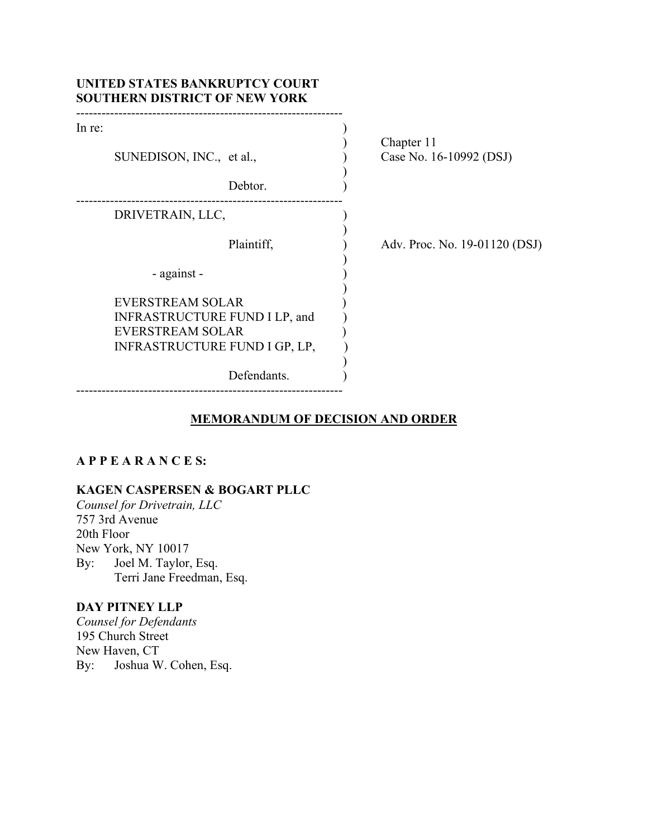|        | UNITED STATES BANKRUPTCY COURT<br><b>SOUTHERN DISTRICT OF NEW YORK</b> |                                       |
|--------|------------------------------------------------------------------------|---------------------------------------|
| In re: |                                                                        |                                       |
|        | SUNEDISON, INC., et al.,                                               | Chapter 11<br>Case No. 16-10992 (DSJ) |
|        | Debtor.                                                                |                                       |
|        | DRIVETRAIN, LLC,                                                       |                                       |
|        | Plaintiff,                                                             | Adv. Proc. No. 19-01120 (DSJ)         |
|        | - against -                                                            |                                       |
|        | <b>EVERSTREAM SOLAR</b>                                                |                                       |
|        | INFRASTRUCTURE FUND I LP, and                                          |                                       |
|        | <b>EVERSTREAM SOLAR</b>                                                |                                       |
|        | INFRASTRUCTURE FUND I GP, LP,                                          |                                       |
|        | Defendants.                                                            |                                       |

## **MEMORANDUM OF DECISION AND ORDER**

# **A P P E A R A N C E S:**

# **KAGEN CASPERSEN & BOGART PLLC**

*Counsel for Drivetrain, LLC* 757 3rd Avenue 20th Floor New York, NY 10017 By: Joel M. Taylor, Esq. Terri Jane Freedman, Esq.

# **DAY PITNEY LLP**

*Counsel for Defendants* 195 Church Street New Haven, CT By: Joshua W. Cohen, Esq.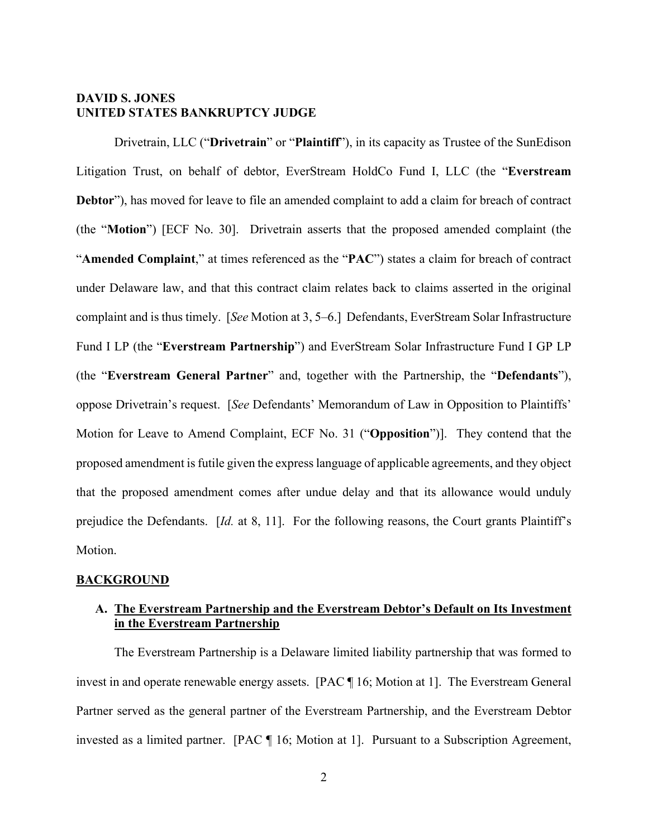#### **DAVID S. JONES UNITED STATES BANKRUPTCY JUDGE**

 Drivetrain, LLC ("**Drivetrain**" or "**Plaintiff**"), in its capacity as Trustee of the SunEdison Litigation Trust, on behalf of debtor, EverStream HoldCo Fund I, LLC (the "**Everstream Debtor**"), has moved for leave to file an amended complaint to add a claim for breach of contract (the "**Motion**") [ECF No. 30]. Drivetrain asserts that the proposed amended complaint (the "**Amended Complaint**," at times referenced as the "**PAC**") states a claim for breach of contract under Delaware law, and that this contract claim relates back to claims asserted in the original complaint and is thus timely. [*See* Motion at 3, 5–6.] Defendants, EverStream Solar Infrastructure Fund I LP (the "**Everstream Partnership**") and EverStream Solar Infrastructure Fund I GP LP (the "**Everstream General Partner**" and, together with the Partnership, the "**Defendants**"), oppose Drivetrain's request. [*See* Defendants' Memorandum of Law in Opposition to Plaintiffs' Motion for Leave to Amend Complaint, ECF No. 31 ("**Opposition**")]. They contend that the proposed amendment is futile given the express language of applicable agreements, and they object that the proposed amendment comes after undue delay and that its allowance would unduly prejudice the Defendants. [*Id.* at 8, 11]. For the following reasons, the Court grants Plaintiff's Motion.

#### **BACKGROUND**

## **A. The Everstream Partnership and the Everstream Debtor's Default on Its Investment in the Everstream Partnership**

The Everstream Partnership is a Delaware limited liability partnership that was formed to invest in and operate renewable energy assets. [PAC ¶ 16; Motion at 1]. The Everstream General Partner served as the general partner of the Everstream Partnership, and the Everstream Debtor invested as a limited partner. [PAC ¶ 16; Motion at 1]. Pursuant to a Subscription Agreement,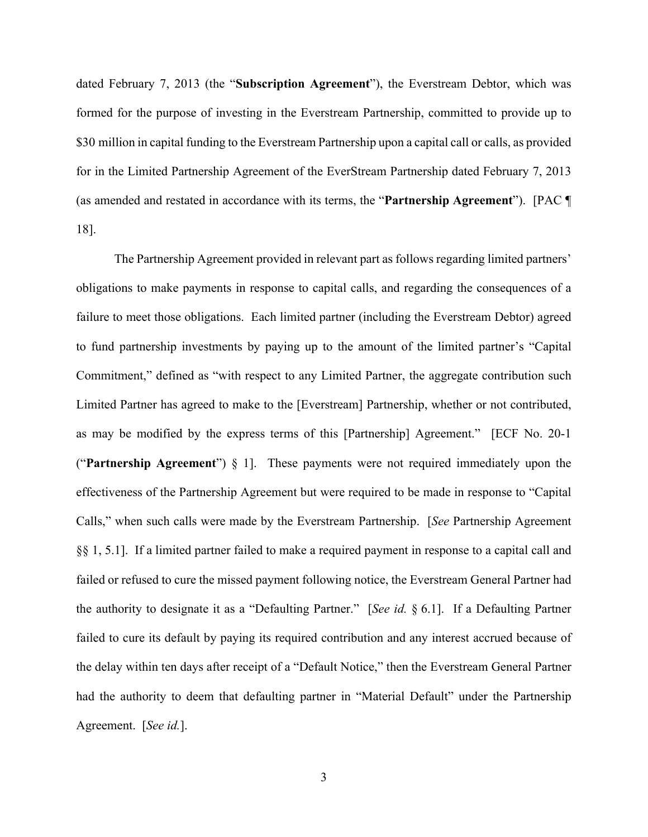dated February 7, 2013 (the "**Subscription Agreement**"), the Everstream Debtor, which was formed for the purpose of investing in the Everstream Partnership, committed to provide up to \$30 million in capital funding to the Everstream Partnership upon a capital call or calls, as provided for in the Limited Partnership Agreement of the EverStream Partnership dated February 7, 2013 (as amended and restated in accordance with its terms, the "**Partnership Agreement**"). [PAC ¶ 18].

The Partnership Agreement provided in relevant part as follows regarding limited partners' obligations to make payments in response to capital calls, and regarding the consequences of a failure to meet those obligations. Each limited partner (including the Everstream Debtor) agreed to fund partnership investments by paying up to the amount of the limited partner's "Capital Commitment," defined as "with respect to any Limited Partner, the aggregate contribution such Limited Partner has agreed to make to the [Everstream] Partnership, whether or not contributed, as may be modified by the express terms of this [Partnership] Agreement." [ECF No. 20-1 ("**Partnership Agreement**") § 1]. These payments were not required immediately upon the effectiveness of the Partnership Agreement but were required to be made in response to "Capital Calls," when such calls were made by the Everstream Partnership. [*See* Partnership Agreement §§ 1, 5.1]. If a limited partner failed to make a required payment in response to a capital call and failed or refused to cure the missed payment following notice, the Everstream General Partner had the authority to designate it as a "Defaulting Partner." [*See id.* § 6.1]. If a Defaulting Partner failed to cure its default by paying its required contribution and any interest accrued because of the delay within ten days after receipt of a "Default Notice," then the Everstream General Partner had the authority to deem that defaulting partner in "Material Default" under the Partnership Agreement. [*See id.*].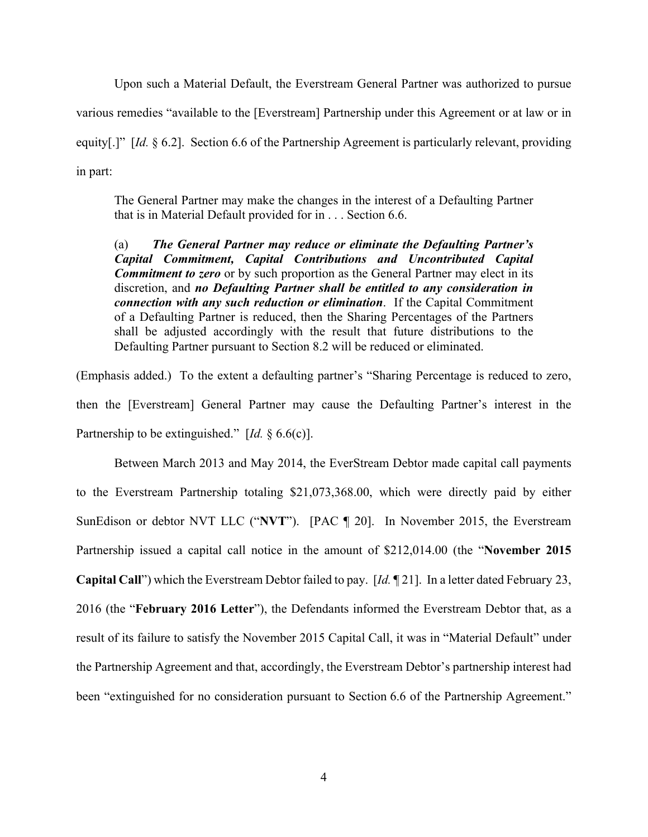Upon such a Material Default, the Everstream General Partner was authorized to pursue various remedies "available to the [Everstream] Partnership under this Agreement or at law or in equity[.]" [*Id.* § 6.2]. Section 6.6 of the Partnership Agreement is particularly relevant, providing in part:

The General Partner may make the changes in the interest of a Defaulting Partner that is in Material Default provided for in . . . Section 6.6.

(a) *The General Partner may reduce or eliminate the Defaulting Partner's Capital Commitment, Capital Contributions and Uncontributed Capital Commitment to zero* or by such proportion as the General Partner may elect in its discretion, and *no Defaulting Partner shall be entitled to any consideration in connection with any such reduction or elimination*. If the Capital Commitment of a Defaulting Partner is reduced, then the Sharing Percentages of the Partners shall be adjusted accordingly with the result that future distributions to the Defaulting Partner pursuant to Section 8.2 will be reduced or eliminated.

(Emphasis added.) To the extent a defaulting partner's "Sharing Percentage is reduced to zero, then the [Everstream] General Partner may cause the Defaulting Partner's interest in the Partnership to be extinguished." [*Id.* § 6.6(c)].

Between March 2013 and May 2014, the EverStream Debtor made capital call payments to the Everstream Partnership totaling \$21,073,368.00, which were directly paid by either SunEdison or debtor NVT LLC ("**NVT**"). [PAC ¶ 20]. In November 2015, the Everstream Partnership issued a capital call notice in the amount of \$212,014.00 (the "**November 2015 Capital Call**") which the Everstream Debtor failed to pay. [*Id.* ¶ 21]. In a letter dated February 23, 2016 (the "**February 2016 Letter**"), the Defendants informed the Everstream Debtor that, as a result of its failure to satisfy the November 2015 Capital Call, it was in "Material Default" under the Partnership Agreement and that, accordingly, the Everstream Debtor's partnership interest had been "extinguished for no consideration pursuant to Section 6.6 of the Partnership Agreement."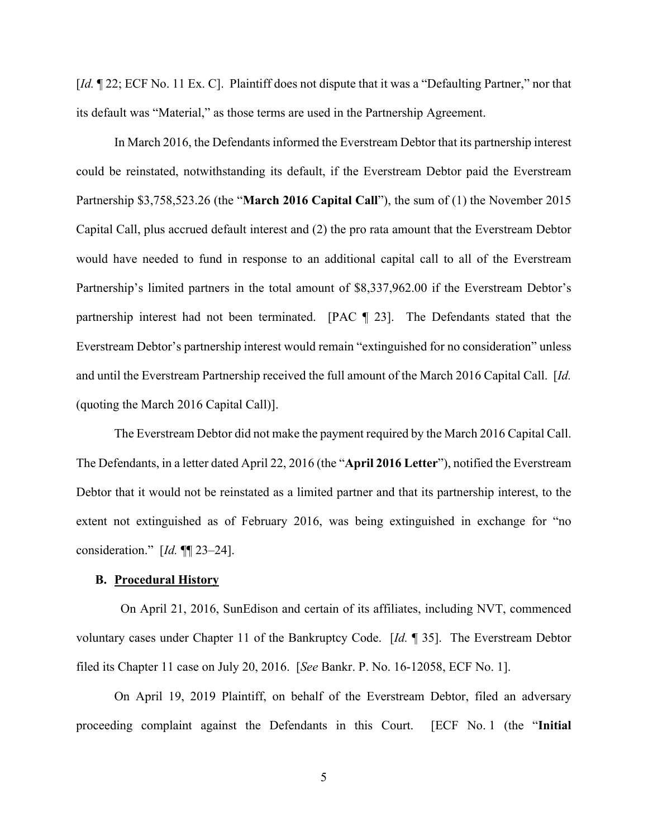[*Id.*  $\P$  22; ECF No. 11 Ex. C]. Plaintiff does not dispute that it was a "Defaulting Partner," nor that its default was "Material," as those terms are used in the Partnership Agreement.

In March 2016, the Defendants informed the Everstream Debtor that its partnership interest could be reinstated, notwithstanding its default, if the Everstream Debtor paid the Everstream Partnership \$3,758,523.26 (the "**March 2016 Capital Call**"), the sum of (1) the November 2015 Capital Call, plus accrued default interest and (2) the pro rata amount that the Everstream Debtor would have needed to fund in response to an additional capital call to all of the Everstream Partnership's limited partners in the total amount of \$8,337,962.00 if the Everstream Debtor's partnership interest had not been terminated. [PAC ¶ 23]. The Defendants stated that the Everstream Debtor's partnership interest would remain "extinguished for no consideration" unless and until the Everstream Partnership received the full amount of the March 2016 Capital Call. [*Id.*  (quoting the March 2016 Capital Call)].

The Everstream Debtor did not make the payment required by the March 2016 Capital Call. The Defendants, in a letter dated April 22, 2016 (the "**April 2016 Letter**"), notified the Everstream Debtor that it would not be reinstated as a limited partner and that its partnership interest, to the extent not extinguished as of February 2016, was being extinguished in exchange for "no consideration." [*Id.* ¶¶ 23–24].

#### **B. Procedural History**

 On April 21, 2016, SunEdison and certain of its affiliates, including NVT, commenced voluntary cases under Chapter 11 of the Bankruptcy Code. [*Id.* ¶ 35]. The Everstream Debtor filed its Chapter 11 case on July 20, 2016. [*See* Bankr. P. No. 16-12058, ECF No. 1].

On April 19, 2019 Plaintiff, on behalf of the Everstream Debtor, filed an adversary proceeding complaint against the Defendants in this Court. [ECF No. 1 (the "**Initial**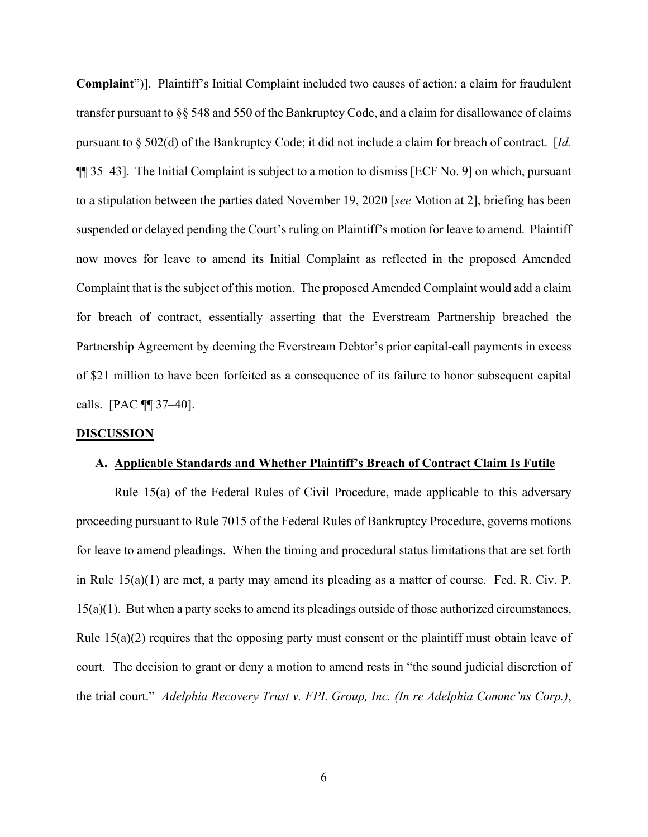**Complaint**")]. Plaintiff's Initial Complaint included two causes of action: a claim for fraudulent transfer pursuant to §§ 548 and 550 of the Bankruptcy Code, and a claim for disallowance of claims pursuant to § 502(d) of the Bankruptcy Code; it did not include a claim for breach of contract. [*Id.*  ¶¶ 35–43]. The Initial Complaint is subject to a motion to dismiss [ECF No. 9] on which, pursuant to a stipulation between the parties dated November 19, 2020 [*see* Motion at 2], briefing has been suspended or delayed pending the Court's ruling on Plaintiff's motion for leave to amend. Plaintiff now moves for leave to amend its Initial Complaint as reflected in the proposed Amended Complaint that is the subject of this motion. The proposed Amended Complaint would add a claim for breach of contract, essentially asserting that the Everstream Partnership breached the Partnership Agreement by deeming the Everstream Debtor's prior capital-call payments in excess of \$21 million to have been forfeited as a consequence of its failure to honor subsequent capital calls. [PAC ¶¶ 37–40].

#### **DISCUSSION**

#### **A. Applicable Standards and Whether Plaintiff's Breach of Contract Claim Is Futile**

Rule 15(a) of the Federal Rules of Civil Procedure, made applicable to this adversary proceeding pursuant to Rule 7015 of the Federal Rules of Bankruptcy Procedure, governs motions for leave to amend pleadings. When the timing and procedural status limitations that are set forth in Rule 15(a)(1) are met, a party may amend its pleading as a matter of course. Fed. R. Civ. P. 15(a)(1). But when a party seeks to amend its pleadings outside of those authorized circumstances, Rule  $15(a)(2)$  requires that the opposing party must consent or the plaintiff must obtain leave of court. The decision to grant or deny a motion to amend rests in "the sound judicial discretion of the trial court." *Adelphia Recovery Trust v. FPL Group, Inc. (In re Adelphia Commc'ns Corp.)*,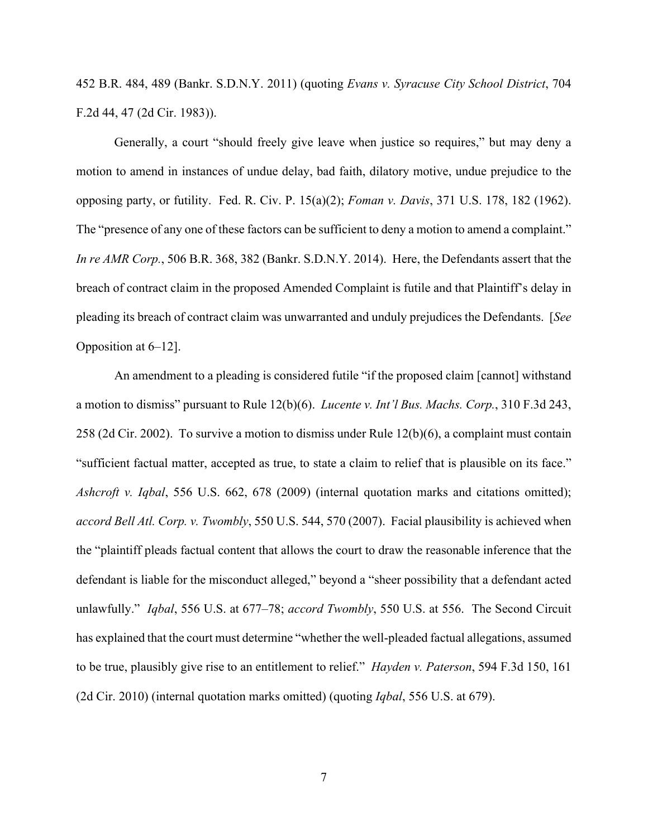452 B.R. 484, 489 (Bankr. S.D.N.Y. 2011) (quoting *Evans v. Syracuse City School District*, 704 F.2d 44, 47 (2d Cir. 1983)).

Generally, a court "should freely give leave when justice so requires," but may deny a motion to amend in instances of undue delay, bad faith, dilatory motive, undue prejudice to the opposing party, or futility. Fed. R. Civ. P. 15(a)(2); *Foman v. Davis*, 371 U.S. 178, 182 (1962). The "presence of any one of these factors can be sufficient to deny a motion to amend a complaint." *In re AMR Corp.*, 506 B.R. 368, 382 (Bankr. S.D.N.Y. 2014). Here, the Defendants assert that the breach of contract claim in the proposed Amended Complaint is futile and that Plaintiff's delay in pleading its breach of contract claim was unwarranted and unduly prejudices the Defendants. [*See*  Opposition at 6–12].

An amendment to a pleading is considered futile "if the proposed claim [cannot] withstand a motion to dismiss" pursuant to Rule 12(b)(6). *Lucente v. Int'l Bus. Machs. Corp.*, 310 F.3d 243, 258 (2d Cir. 2002). To survive a motion to dismiss under Rule 12(b)(6), a complaint must contain "sufficient factual matter, accepted as true, to state a claim to relief that is plausible on its face." *Ashcroft v. Iqbal*, 556 U.S. 662, 678 (2009) (internal quotation marks and citations omitted); *accord Bell Atl. Corp. v. Twombly*, 550 U.S. 544, 570 (2007). Facial plausibility is achieved when the "plaintiff pleads factual content that allows the court to draw the reasonable inference that the defendant is liable for the misconduct alleged," beyond a "sheer possibility that a defendant acted unlawfully." *Iqbal*, 556 U.S. at 677–78; *accord Twombly*, 550 U.S. at 556. The Second Circuit has explained that the court must determine "whether the well-pleaded factual allegations, assumed to be true, plausibly give rise to an entitlement to relief." *Hayden v. Paterson*, 594 F.3d 150, 161 (2d Cir. 2010) (internal quotation marks omitted) (quoting *Iqbal*, 556 U.S. at 679).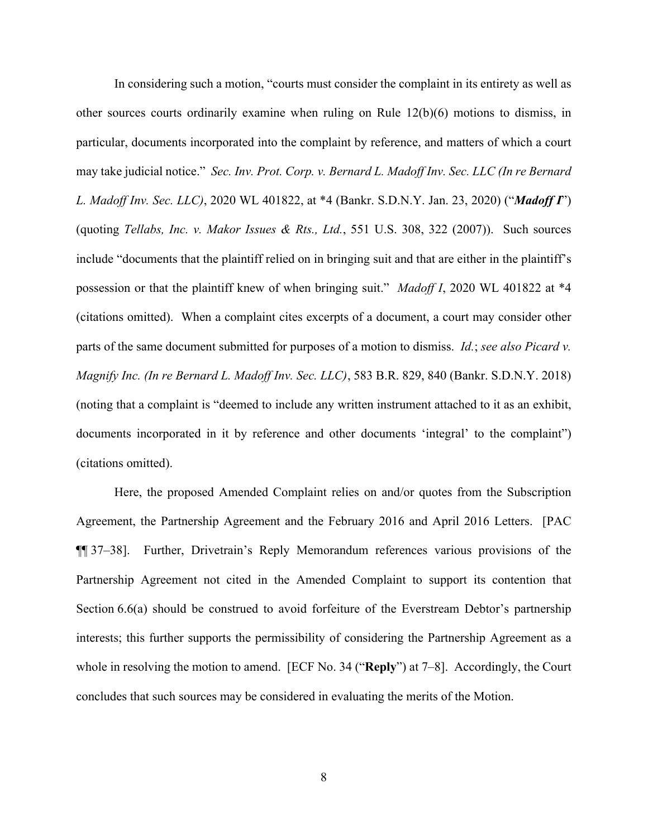In considering such a motion, "courts must consider the complaint in its entirety as well as other sources courts ordinarily examine when ruling on Rule 12(b)(6) motions to dismiss, in particular, documents incorporated into the complaint by reference, and matters of which a court may take judicial notice." *Sec. Inv. Prot. Corp. v. Bernard L. Madoff Inv. Sec. LLC (In re Bernard L. Madoff Inv. Sec. LLC)*, 2020 WL 401822, at \*4 (Bankr. S.D.N.Y. Jan. 23, 2020) ("*Madoff I*") (quoting *Tellabs, Inc. v. Makor Issues & Rts., Ltd.*, 551 U.S. 308, 322 (2007)). Such sources include "documents that the plaintiff relied on in bringing suit and that are either in the plaintiff's possession or that the plaintiff knew of when bringing suit." *Madoff I*, 2020 WL 401822 at \*4 (citations omitted). When a complaint cites excerpts of a document, a court may consider other parts of the same document submitted for purposes of a motion to dismiss. *Id.*; *see also Picard v. Magnify Inc. (In re Bernard L. Madoff Inv. Sec. LLC)*, 583 B.R. 829, 840 (Bankr. S.D.N.Y. 2018) (noting that a complaint is "deemed to include any written instrument attached to it as an exhibit, documents incorporated in it by reference and other documents 'integral' to the complaint") (citations omitted).

Here, the proposed Amended Complaint relies on and/or quotes from the Subscription Agreement, the Partnership Agreement and the February 2016 and April 2016 Letters. [PAC ¶¶ 37–38]. Further, Drivetrain's Reply Memorandum references various provisions of the Partnership Agreement not cited in the Amended Complaint to support its contention that Section 6.6(a) should be construed to avoid forfeiture of the Everstream Debtor's partnership interests; this further supports the permissibility of considering the Partnership Agreement as a whole in resolving the motion to amend. [ECF No. 34 ("**Reply**") at 7–8]. Accordingly, the Court concludes that such sources may be considered in evaluating the merits of the Motion.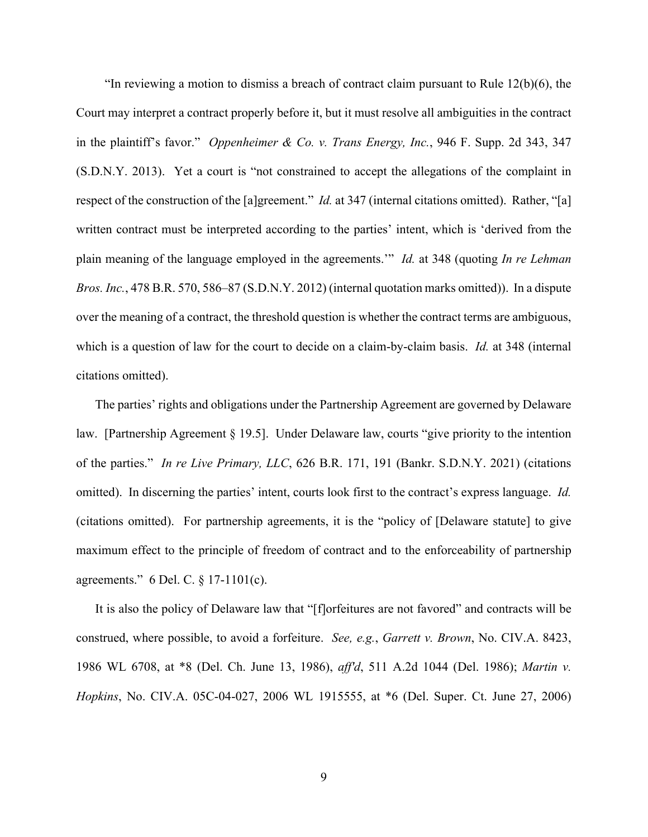"In reviewing a motion to dismiss a breach of contract claim pursuant to Rule  $12(b)(6)$ , the Court may interpret a contract properly before it, but it must resolve all ambiguities in the contract in the plaintiff's favor." *Oppenheimer & Co. v. Trans Energy, Inc.*, 946 F. Supp. 2d 343, 347 (S.D.N.Y. 2013). Yet a court is "not constrained to accept the allegations of the complaint in respect of the construction of the [a]greement." *Id.* at 347 (internal citations omitted). Rather, "[a] written contract must be interpreted according to the parties' intent, which is 'derived from the plain meaning of the language employed in the agreements.'" *Id.* at 348 (quoting *In re Lehman Bros. Inc.*, 478 B.R. 570, 586–87 (S.D.N.Y. 2012) (internal quotation marks omitted)). In a dispute over the meaning of a contract, the threshold question is whether the contract terms are ambiguous, which is a question of law for the court to decide on a claim-by-claim basis. *Id.* at 348 (internal citations omitted).

The parties' rights and obligations under the Partnership Agreement are governed by Delaware law. [Partnership Agreement § 19.5]. Under Delaware law, courts "give priority to the intention of the parties." *In re Live Primary, LLC*, 626 B.R. 171, 191 (Bankr. S.D.N.Y. 2021) (citations omitted). In discerning the parties' intent, courts look first to the contract's express language. *Id.*  (citations omitted). For partnership agreements, it is the "policy of [Delaware statute] to give maximum effect to the principle of freedom of contract and to the enforceability of partnership agreements." 6 Del. C. § 17-1101(c).

It is also the policy of Delaware law that "[f]orfeitures are not favored" and contracts will be construed, where possible, to avoid a forfeiture. *See, e.g.*, *Garrett v. Brown*, No. CIV.A. 8423, 1986 WL 6708, at \*8 (Del. Ch. June 13, 1986), *aff'd*, 511 A.2d 1044 (Del. 1986); *Martin v. Hopkins*, No. CIV.A. 05C-04-027, 2006 WL 1915555, at \*6 (Del. Super. Ct. June 27, 2006)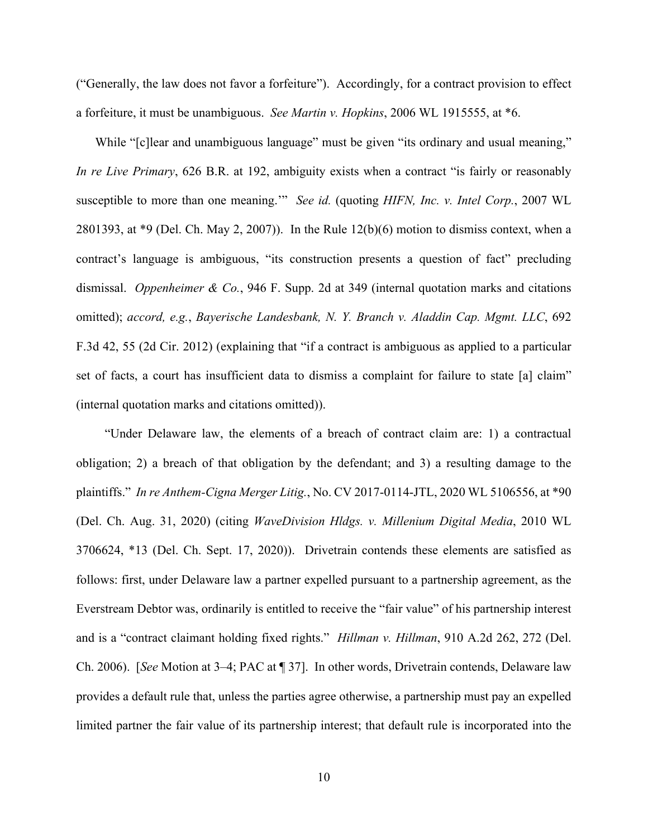("Generally, the law does not favor a forfeiture"). Accordingly, for a contract provision to effect a forfeiture, it must be unambiguous. *See Martin v. Hopkins*, 2006 WL 1915555, at \*6.

While "[c]lear and unambiguous language" must be given "its ordinary and usual meaning," *In re Live Primary*, 626 B.R. at 192, ambiguity exists when a contract "is fairly or reasonably susceptible to more than one meaning.'" *See id.* (quoting *HIFN, Inc. v. Intel Corp.*, 2007 WL 2801393, at \*9 (Del. Ch. May 2, 2007)). In the Rule 12(b)(6) motion to dismiss context, when a contract's language is ambiguous, "its construction presents a question of fact" precluding dismissal. *Oppenheimer & Co.*, 946 F. Supp. 2d at 349 (internal quotation marks and citations omitted); *accord, e.g.*, *Bayerische Landesbank, N. Y. Branch v. Aladdin Cap. Mgmt. LLC*, 692 F.3d 42, 55 (2d Cir. 2012) (explaining that "if a contract is ambiguous as applied to a particular set of facts, a court has insufficient data to dismiss a complaint for failure to state [a] claim" (internal quotation marks and citations omitted)).

"Under Delaware law, the elements of a breach of contract claim are: 1) a contractual obligation; 2) a breach of that obligation by the defendant; and 3) a resulting damage to the plaintiffs." *In re Anthem-Cigna Merger Litig.*, No. CV 2017-0114-JTL, 2020 WL 5106556, at \*90 (Del. Ch. Aug. 31, 2020) (citing *WaveDivision Hldgs. v. Millenium Digital Media*, 2010 WL 3706624, \*13 (Del. Ch. Sept. 17, 2020)). Drivetrain contends these elements are satisfied as follows: first, under Delaware law a partner expelled pursuant to a partnership agreement, as the Everstream Debtor was, ordinarily is entitled to receive the "fair value" of his partnership interest and is a "contract claimant holding fixed rights." *Hillman v. Hillman*, 910 A.2d 262, 272 (Del. Ch. 2006). [*See* Motion at 3–4; PAC at ¶ 37]. In other words, Drivetrain contends, Delaware law provides a default rule that, unless the parties agree otherwise, a partnership must pay an expelled limited partner the fair value of its partnership interest; that default rule is incorporated into the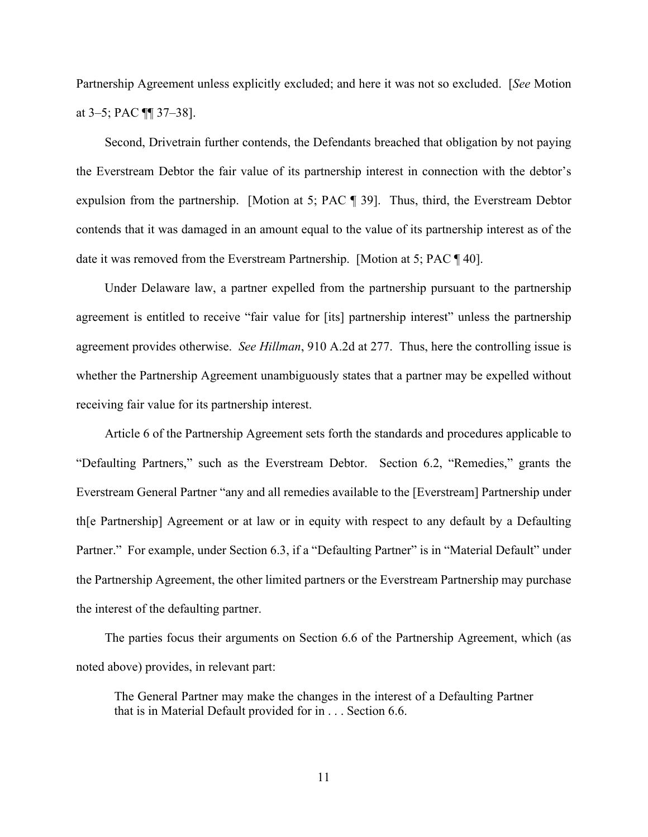Partnership Agreement unless explicitly excluded; and here it was not so excluded. [*See* Motion at 3–5; PAC ¶¶ 37–38].

Second, Drivetrain further contends, the Defendants breached that obligation by not paying the Everstream Debtor the fair value of its partnership interest in connection with the debtor's expulsion from the partnership. [Motion at 5; PAC ¶ 39]. Thus, third, the Everstream Debtor contends that it was damaged in an amount equal to the value of its partnership interest as of the date it was removed from the Everstream Partnership. [Motion at 5; PAC ¶ 40].

Under Delaware law, a partner expelled from the partnership pursuant to the partnership agreement is entitled to receive "fair value for [its] partnership interest" unless the partnership agreement provides otherwise. *See Hillman*, 910 A.2d at 277. Thus, here the controlling issue is whether the Partnership Agreement unambiguously states that a partner may be expelled without receiving fair value for its partnership interest.

Article 6 of the Partnership Agreement sets forth the standards and procedures applicable to "Defaulting Partners," such as the Everstream Debtor. Section 6.2, "Remedies," grants the Everstream General Partner "any and all remedies available to the [Everstream] Partnership under th[e Partnership] Agreement or at law or in equity with respect to any default by a Defaulting Partner." For example, under Section 6.3, if a "Defaulting Partner" is in "Material Default" under the Partnership Agreement, the other limited partners or the Everstream Partnership may purchase the interest of the defaulting partner.

The parties focus their arguments on Section 6.6 of the Partnership Agreement, which (as noted above) provides, in relevant part:

The General Partner may make the changes in the interest of a Defaulting Partner that is in Material Default provided for in . . . Section 6.6.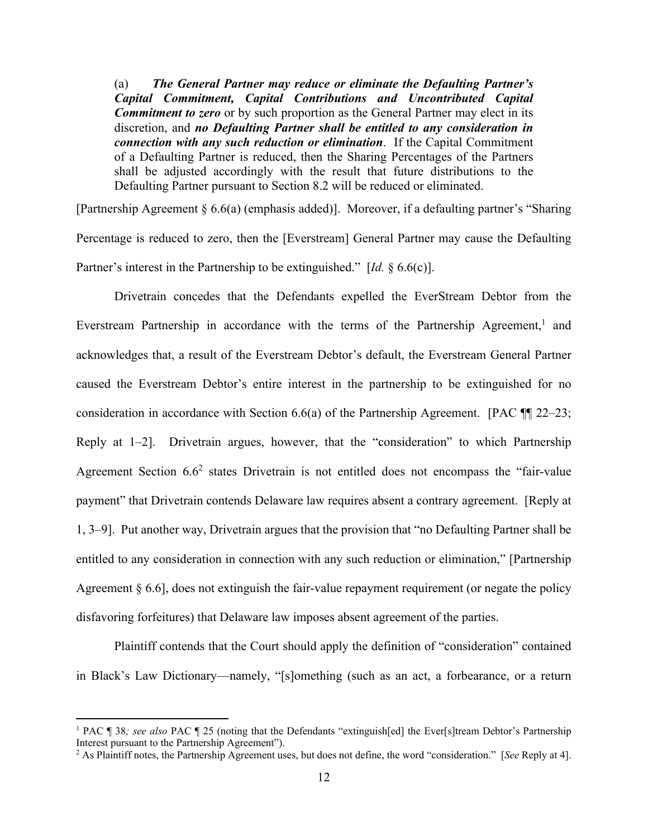(a) *The General Partner may reduce or eliminate the Defaulting Partner's Capital Commitment, Capital Contributions and Uncontributed Capital Commitment to zero* or by such proportion as the General Partner may elect in its discretion, and *no Defaulting Partner shall be entitled to any consideration in connection with any such reduction or elimination*. If the Capital Commitment of a Defaulting Partner is reduced, then the Sharing Percentages of the Partners shall be adjusted accordingly with the result that future distributions to the Defaulting Partner pursuant to Section 8.2 will be reduced or eliminated.

[Partnership Agreement § 6.6(a) (emphasis added)]. Moreover, if a defaulting partner's "Sharing Percentage is reduced to zero, then the [Everstream] General Partner may cause the Defaulting Partner's interest in the Partnership to be extinguished." [*Id.* § 6.6(c)].

 Drivetrain concedes that the Defendants expelled the EverStream Debtor from the Everstream Partnership in accordance with the terms of the Partnership Agreement,<sup>1</sup> and acknowledges that, a result of the Everstream Debtor's default, the Everstream General Partner caused the Everstream Debtor's entire interest in the partnership to be extinguished for no consideration in accordance with Section 6.6(a) of the Partnership Agreement. [PAC ¶¶ 22–23; Reply at 1–2]. Drivetrain argues, however, that the "consideration" to which Partnership Agreement Section  $6.6<sup>2</sup>$  states Drivetrain is not entitled does not encompass the "fair-value payment" that Drivetrain contends Delaware law requires absent a contrary agreement. [Reply at 1, 3–9]. Put another way, Drivetrain argues that the provision that "no Defaulting Partner shall be entitled to any consideration in connection with any such reduction or elimination," [Partnership Agreement § 6.6], does not extinguish the fair-value repayment requirement (or negate the policy disfavoring forfeitures) that Delaware law imposes absent agreement of the parties.

Plaintiff contends that the Court should apply the definition of "consideration" contained in Black's Law Dictionary—namely, "[s]omething (such as an act, a forbearance, or a return

<sup>&</sup>lt;sup>1</sup> PAC ¶ 38; see also PAC ¶ 25 (noting that the Defendants "extinguish[ed] the Ever[s]tream Debtor's Partnership Interest pursuant to the Partnership Agreement").

<sup>2</sup> As Plaintiff notes, the Partnership Agreement uses, but does not define, the word "consideration." [*See* Reply at 4].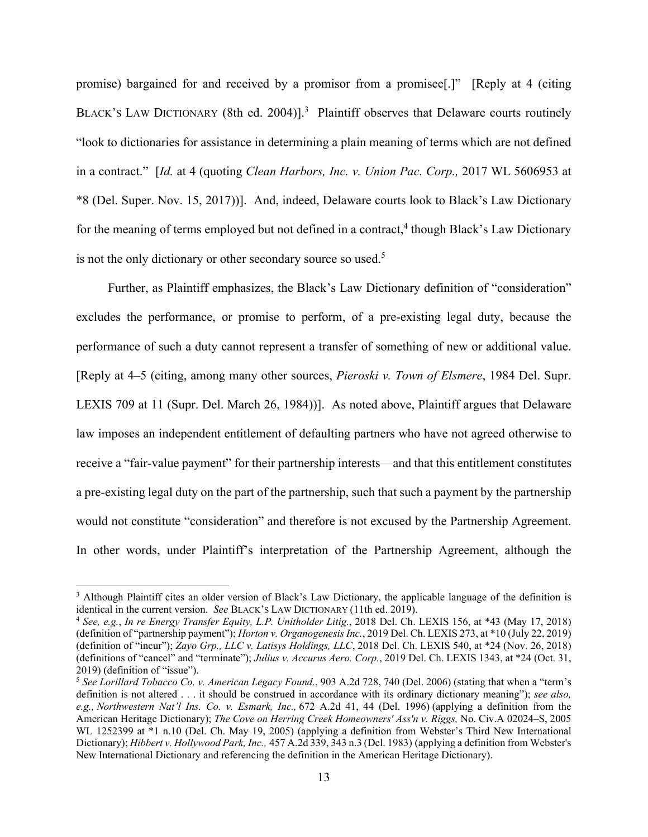promise) bargained for and received by a promisor from a promisee[.]" [Reply at 4 (citing BLACK'S LAW DICTIONARY (8th ed. 2004)].<sup>3</sup> Plaintiff observes that Delaware courts routinely "look to dictionaries for assistance in determining a plain meaning of terms which are not defined in a contract." [*Id.* at 4 (quoting *Clean Harbors, Inc. v. Union Pac. Corp.,* 2017 WL 5606953 at \*8 (Del. Super. Nov. 15, 2017))]. And, indeed, Delaware courts look to Black's Law Dictionary for the meaning of terms employed but not defined in a contract,<sup>4</sup> though Black's Law Dictionary is not the only dictionary or other secondary source so used.<sup>5</sup>

 Further, as Plaintiff emphasizes, the Black's Law Dictionary definition of "consideration" excludes the performance, or promise to perform, of a pre-existing legal duty, because the performance of such a duty cannot represent a transfer of something of new or additional value. [Reply at 4–5 (citing, among many other sources, *Pieroski v. Town of Elsmere*, 1984 Del. Supr. LEXIS 709 at 11 (Supr. Del. March 26, 1984))]. As noted above, Plaintiff argues that Delaware law imposes an independent entitlement of defaulting partners who have not agreed otherwise to receive a "fair-value payment" for their partnership interests—and that this entitlement constitutes a pre-existing legal duty on the part of the partnership, such that such a payment by the partnership would not constitute "consideration" and therefore is not excused by the Partnership Agreement. In other words, under Plaintiff's interpretation of the Partnership Agreement, although the

<sup>&</sup>lt;sup>3</sup> Although Plaintiff cites an older version of Black's Law Dictionary, the applicable language of the definition is identical in the current version. *See* BLACK'S LAW DICTIONARY (11th ed. 2019). 4 *See, e.g.*, *In re Energy Transfer Equity, L.P. Unitholder Litig.*, 2018 Del. Ch. LEXIS 156, at \*43 (May 17, 2018)

<sup>(</sup>definition of "partnership payment"); *Horton v. Organogenesis Inc.*, 2019 Del. Ch. LEXIS 273, at \*10 (July 22, 2019) (definition of "incur"); *Zayo Grp., LLC v. Latisys Holdings, LLC*, 2018 Del. Ch. LEXIS 540, at \*24 (Nov. 26, 2018) (definitions of "cancel" and "terminate"); *Julius v. Accurus Aero. Corp.*, 2019 Del. Ch. LEXIS 1343, at \*24 (Oct. 31, 2019) (definition of "issue").

<sup>5</sup> *See Lorillard Tobacco Co. v. American Legacy Found.*, 903 A.2d 728, 740 (Del. 2006) (stating that when a "term's definition is not altered . . . it should be construed in accordance with its ordinary dictionary meaning"); *see also, e.g., Northwestern Nat'l Ins. Co. v. Esmark, Inc.,* 672 A.2d 41, 44 (Del. 1996) (applying a definition from the American Heritage Dictionary); *The Cove on Herring Creek Homeowners' Ass'n v. Riggs,* No. Civ.A 02024–S, 2005 WL 1252399 at \*1 n.10 (Del. Ch. May 19, 2005) (applying a definition from Webster's Third New International Dictionary); *Hibbert v. Hollywood Park, Inc.,* 457 A.2d 339, 343 n.3 (Del. 1983) (applying a definition from Webster's New International Dictionary and referencing the definition in the American Heritage Dictionary).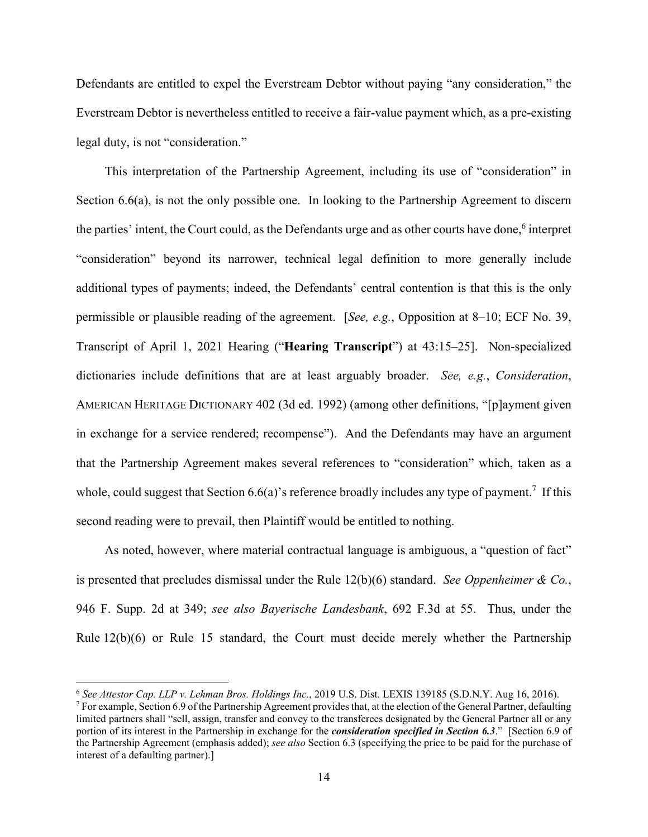Defendants are entitled to expel the Everstream Debtor without paying "any consideration," the Everstream Debtor is nevertheless entitled to receive a fair-value payment which, as a pre-existing legal duty, is not "consideration."

This interpretation of the Partnership Agreement, including its use of "consideration" in Section 6.6(a), is not the only possible one. In looking to the Partnership Agreement to discern the parties' intent, the Court could, as the Defendants urge and as other courts have done,<sup>6</sup> interpret "consideration" beyond its narrower, technical legal definition to more generally include additional types of payments; indeed, the Defendants' central contention is that this is the only permissible or plausible reading of the agreement. [*See, e.g.*, Opposition at 8–10; ECF No. 39, Transcript of April 1, 2021 Hearing ("**Hearing Transcript**") at 43:15–25]. Non-specialized dictionaries include definitions that are at least arguably broader. *See, e.g.*, *Consideration*, AMERICAN HERITAGE DICTIONARY 402 (3d ed. 1992) (among other definitions, "[p]ayment given in exchange for a service rendered; recompense"). And the Defendants may have an argument that the Partnership Agreement makes several references to "consideration" which, taken as a whole, could suggest that Section 6.6(a)'s reference broadly includes any type of payment.<sup>7</sup> If this second reading were to prevail, then Plaintiff would be entitled to nothing.

As noted, however, where material contractual language is ambiguous, a "question of fact" is presented that precludes dismissal under the Rule 12(b)(6) standard. *See Oppenheimer & Co.*, 946 F. Supp. 2d at 349; *see also Bayerische Landesbank*, 692 F.3d at 55. Thus, under the Rule 12(b)(6) or Rule 15 standard, the Court must decide merely whether the Partnership

<sup>6</sup> *See Attestor Cap. LLP v. Lehman Bros. Holdings Inc.*, 2019 U.S. Dist. LEXIS 139185 (S.D.N.Y. Aug 16, 2016). 7

 $^7$  For example, Section 6.9 of the Partnership Agreement provides that, at the election of the General Partner, defaulting limited partners shall "sell, assign, transfer and convey to the transferees designated by the General Partner all or any portion of its interest in the Partnership in exchange for the *consideration specified in Section 6.3*." [Section 6.9 of the Partnership Agreement (emphasis added); *see also* Section 6.3 (specifying the price to be paid for the purchase of interest of a defaulting partner).]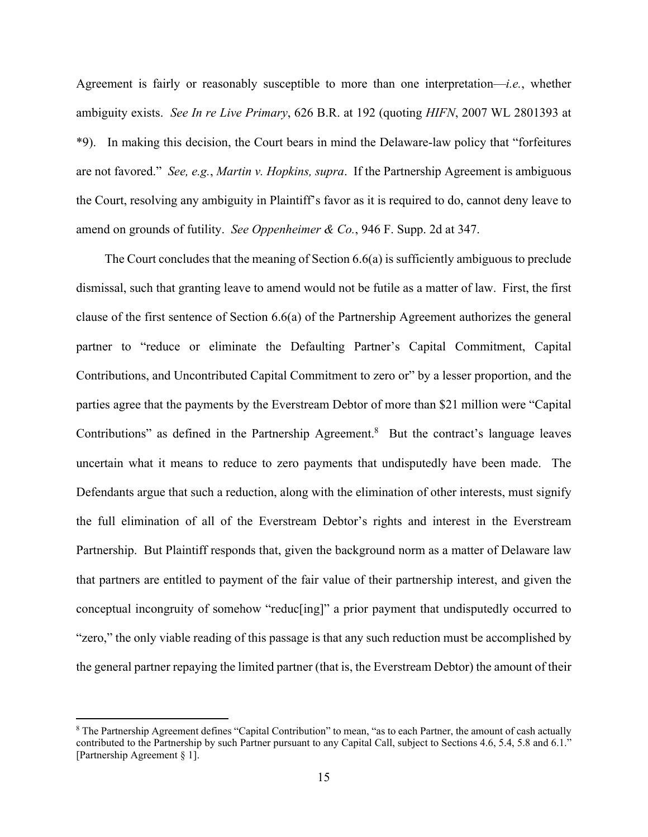Agreement is fairly or reasonably susceptible to more than one interpretation—*i.e.*, whether ambiguity exists. *See In re Live Primary*, 626 B.R. at 192 (quoting *HIFN*, 2007 WL 2801393 at \*9). In making this decision, the Court bears in mind the Delaware-law policy that "forfeitures are not favored." *See, e.g.*, *Martin v. Hopkins, supra*. If the Partnership Agreement is ambiguous the Court, resolving any ambiguity in Plaintiff's favor as it is required to do, cannot deny leave to amend on grounds of futility. *See Oppenheimer & Co.*, 946 F. Supp. 2d at 347.

The Court concludes that the meaning of Section  $6.6(a)$  is sufficiently ambiguous to preclude dismissal, such that granting leave to amend would not be futile as a matter of law. First, the first clause of the first sentence of Section 6.6(a) of the Partnership Agreement authorizes the general partner to "reduce or eliminate the Defaulting Partner's Capital Commitment, Capital Contributions, and Uncontributed Capital Commitment to zero or" by a lesser proportion, and the parties agree that the payments by the Everstream Debtor of more than \$21 million were "Capital Contributions" as defined in the Partnership Agreement.<sup>8</sup> But the contract's language leaves uncertain what it means to reduce to zero payments that undisputedly have been made. The Defendants argue that such a reduction, along with the elimination of other interests, must signify the full elimination of all of the Everstream Debtor's rights and interest in the Everstream Partnership. But Plaintiff responds that, given the background norm as a matter of Delaware law that partners are entitled to payment of the fair value of their partnership interest, and given the conceptual incongruity of somehow "reduc[ing]" a prior payment that undisputedly occurred to "zero," the only viable reading of this passage is that any such reduction must be accomplished by the general partner repaying the limited partner (that is, the Everstream Debtor) the amount of their

<sup>&</sup>lt;sup>8</sup> The Partnership Agreement defines "Capital Contribution" to mean, "as to each Partner, the amount of cash actually contributed to the Partnership by such Partner pursuant to any Capital Call, subject to Sections 4.6, 5.4, 5.8 and 6.1." [Partnership Agreement § 1].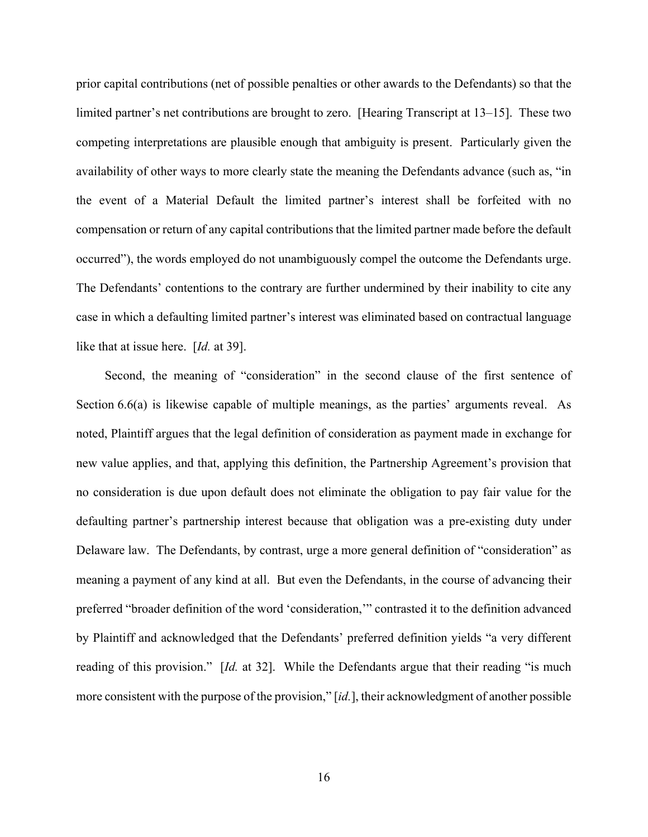prior capital contributions (net of possible penalties or other awards to the Defendants) so that the limited partner's net contributions are brought to zero. [Hearing Transcript at 13–15]. These two competing interpretations are plausible enough that ambiguity is present. Particularly given the availability of other ways to more clearly state the meaning the Defendants advance (such as, "in the event of a Material Default the limited partner's interest shall be forfeited with no compensation or return of any capital contributions that the limited partner made before the default occurred"), the words employed do not unambiguously compel the outcome the Defendants urge. The Defendants' contentions to the contrary are further undermined by their inability to cite any case in which a defaulting limited partner's interest was eliminated based on contractual language like that at issue here. [*Id.* at 39].

Second, the meaning of "consideration" in the second clause of the first sentence of Section 6.6(a) is likewise capable of multiple meanings, as the parties' arguments reveal. As noted, Plaintiff argues that the legal definition of consideration as payment made in exchange for new value applies, and that, applying this definition, the Partnership Agreement's provision that no consideration is due upon default does not eliminate the obligation to pay fair value for the defaulting partner's partnership interest because that obligation was a pre-existing duty under Delaware law. The Defendants, by contrast, urge a more general definition of "consideration" as meaning a payment of any kind at all. But even the Defendants, in the course of advancing their preferred "broader definition of the word 'consideration,'" contrasted it to the definition advanced by Plaintiff and acknowledged that the Defendants' preferred definition yields "a very different reading of this provision." [*Id.* at 32]. While the Defendants argue that their reading "is much more consistent with the purpose of the provision," [*id.*], their acknowledgment of another possible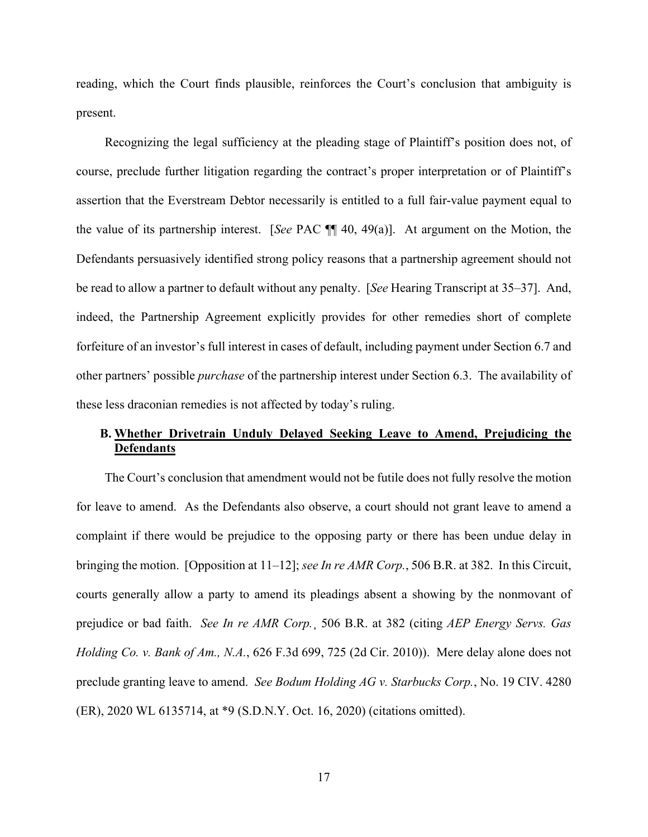reading, which the Court finds plausible, reinforces the Court's conclusion that ambiguity is present.

Recognizing the legal sufficiency at the pleading stage of Plaintiff's position does not, of course, preclude further litigation regarding the contract's proper interpretation or of Plaintiff's assertion that the Everstream Debtor necessarily is entitled to a full fair-value payment equal to the value of its partnership interest. [*See* PAC ¶¶ 40, 49(a)]. At argument on the Motion, the Defendants persuasively identified strong policy reasons that a partnership agreement should not be read to allow a partner to default without any penalty. [*See* Hearing Transcript at 35–37]. And, indeed, the Partnership Agreement explicitly provides for other remedies short of complete forfeiture of an investor's full interest in cases of default, including payment under Section 6.7 and other partners' possible *purchase* of the partnership interest under Section 6.3. The availability of these less draconian remedies is not affected by today's ruling.

## **B. Whether Drivetrain Unduly Delayed Seeking Leave to Amend, Prejudicing the Defendants**

The Court's conclusion that amendment would not be futile does not fully resolve the motion for leave to amend. As the Defendants also observe, a court should not grant leave to amend a complaint if there would be prejudice to the opposing party or there has been undue delay in bringing the motion. [Opposition at 11–12]; *see In re AMR Corp.*, 506 B.R. at 382. In this Circuit, courts generally allow a party to amend its pleadings absent a showing by the nonmovant of prejudice or bad faith. *See In re AMR Corp.*¸ 506 B.R. at 382 (citing *AEP Energy Servs. Gas Holding Co. v. Bank of Am., N.A.*, 626 F.3d 699, 725 (2d Cir. 2010)). Mere delay alone does not preclude granting leave to amend. *See Bodum Holding AG v. Starbucks Corp.*, No. 19 CIV. 4280 (ER), 2020 WL 6135714, at \*9 (S.D.N.Y. Oct. 16, 2020) (citations omitted).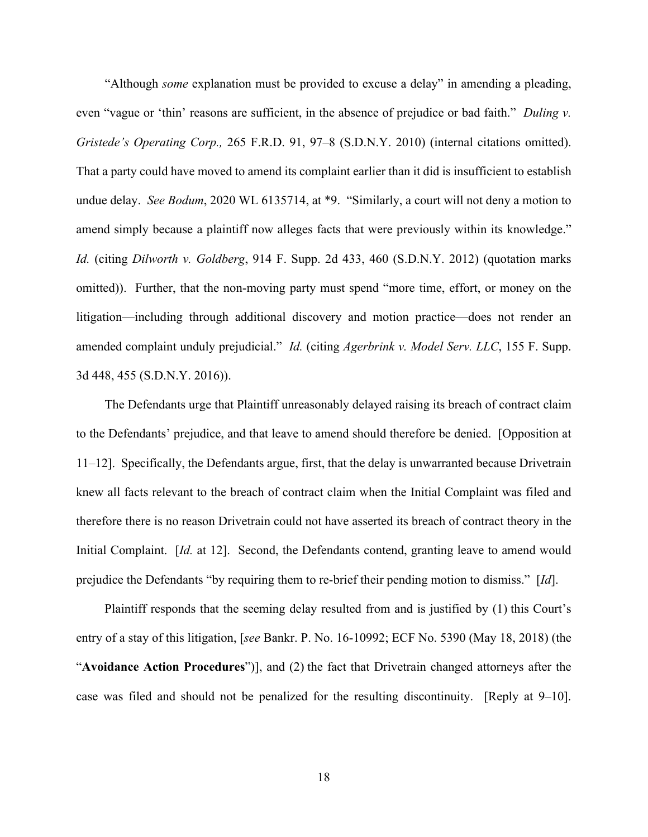"Although *some* explanation must be provided to excuse a delay" in amending a pleading, even "vague or 'thin' reasons are sufficient, in the absence of prejudice or bad faith." *Duling v. Gristede's Operating Corp.,* 265 F.R.D. 91, 97–8 (S.D.N.Y. 2010) (internal citations omitted). That a party could have moved to amend its complaint earlier than it did is insufficient to establish undue delay. *See Bodum*, 2020 WL 6135714, at \*9. "Similarly, a court will not deny a motion to amend simply because a plaintiff now alleges facts that were previously within its knowledge." *Id.* (citing *Dilworth v. Goldberg*, 914 F. Supp. 2d 433, 460 (S.D.N.Y. 2012) (quotation marks omitted)). Further, that the non-moving party must spend "more time, effort, or money on the litigation—including through additional discovery and motion practice—does not render an amended complaint unduly prejudicial." *Id.* (citing *Agerbrink v. Model Serv. LLC*, 155 F. Supp. 3d 448, 455 (S.D.N.Y. 2016)).

The Defendants urge that Plaintiff unreasonably delayed raising its breach of contract claim to the Defendants' prejudice, and that leave to amend should therefore be denied. [Opposition at 11–12]. Specifically, the Defendants argue, first, that the delay is unwarranted because Drivetrain knew all facts relevant to the breach of contract claim when the Initial Complaint was filed and therefore there is no reason Drivetrain could not have asserted its breach of contract theory in the Initial Complaint. [*Id.* at 12]. Second, the Defendants contend, granting leave to amend would prejudice the Defendants "by requiring them to re-brief their pending motion to dismiss." [*Id*].

Plaintiff responds that the seeming delay resulted from and is justified by (1) this Court's entry of a stay of this litigation, [*see* Bankr. P. No. 16-10992; ECF No. 5390 (May 18, 2018) (the "**Avoidance Action Procedures**")], and (2) the fact that Drivetrain changed attorneys after the case was filed and should not be penalized for the resulting discontinuity. [Reply at 9–10].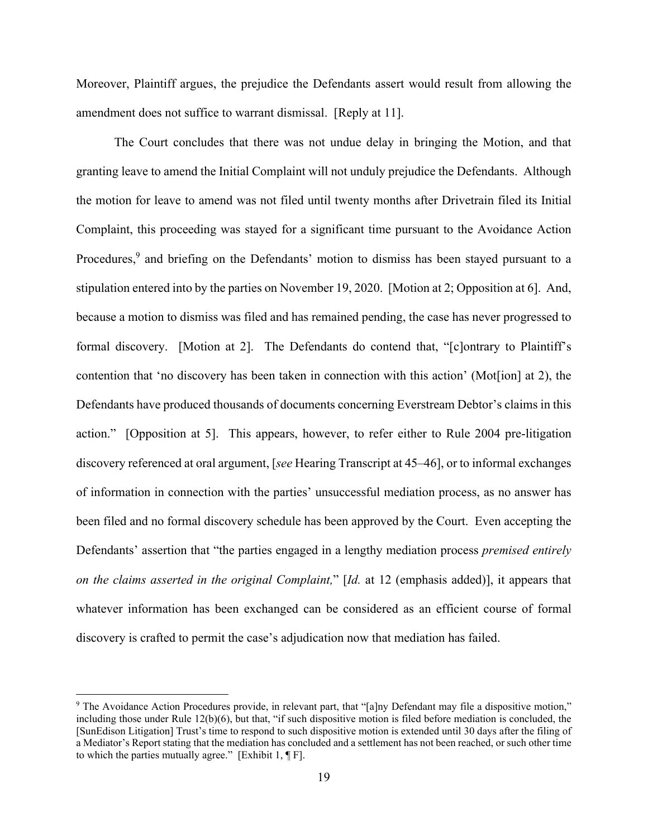Moreover, Plaintiff argues, the prejudice the Defendants assert would result from allowing the amendment does not suffice to warrant dismissal. [Reply at 11].

 The Court concludes that there was not undue delay in bringing the Motion, and that granting leave to amend the Initial Complaint will not unduly prejudice the Defendants. Although the motion for leave to amend was not filed until twenty months after Drivetrain filed its Initial Complaint, this proceeding was stayed for a significant time pursuant to the Avoidance Action Procedures,<sup>9</sup> and briefing on the Defendants' motion to dismiss has been stayed pursuant to a stipulation entered into by the parties on November 19, 2020. [Motion at 2; Opposition at 6]. And, because a motion to dismiss was filed and has remained pending, the case has never progressed to formal discovery. [Motion at 2]. The Defendants do contend that, "[c]ontrary to Plaintiff's contention that 'no discovery has been taken in connection with this action' (Mot[ion] at 2), the Defendants have produced thousands of documents concerning Everstream Debtor's claims in this action." [Opposition at 5]. This appears, however, to refer either to Rule 2004 pre-litigation discovery referenced at oral argument, [*see* Hearing Transcript at 45–46], or to informal exchanges of information in connection with the parties' unsuccessful mediation process, as no answer has been filed and no formal discovery schedule has been approved by the Court. Even accepting the Defendants' assertion that "the parties engaged in a lengthy mediation process *premised entirely on the claims asserted in the original Complaint,*" [*Id.* at 12 (emphasis added)], it appears that whatever information has been exchanged can be considered as an efficient course of formal discovery is crafted to permit the case's adjudication now that mediation has failed.

<sup>&</sup>lt;sup>9</sup> The Avoidance Action Procedures provide, in relevant part, that "[a]ny Defendant may file a dispositive motion," including those under Rule 12(b)(6), but that, "if such dispositive motion is filed before mediation is concluded, the [SunEdison Litigation] Trust's time to respond to such dispositive motion is extended until 30 days after the filing of a Mediator's Report stating that the mediation has concluded and a settlement has not been reached, or such other time to which the parties mutually agree." [Exhibit  $1, \P$  F].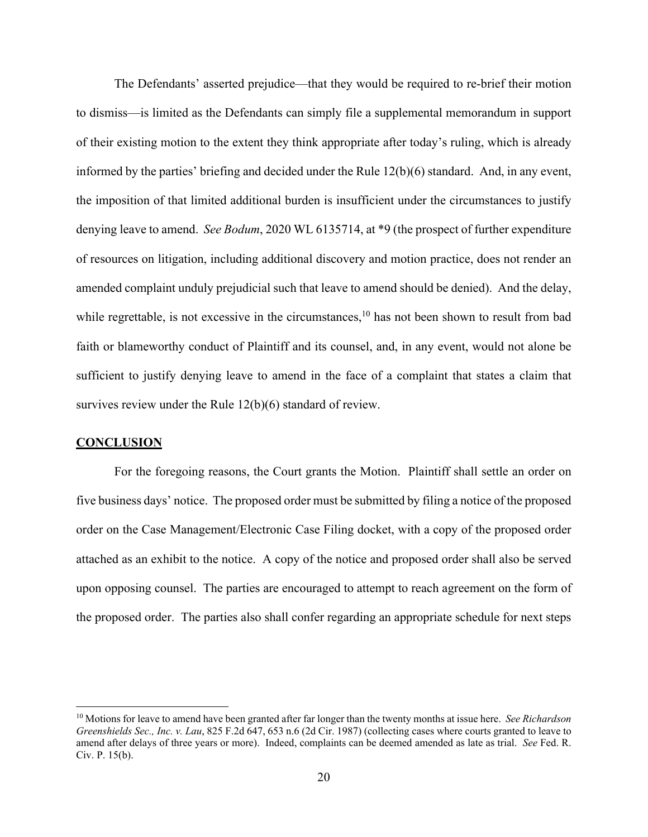The Defendants' asserted prejudice—that they would be required to re-brief their motion to dismiss—is limited as the Defendants can simply file a supplemental memorandum in support of their existing motion to the extent they think appropriate after today's ruling, which is already informed by the parties' briefing and decided under the Rule 12(b)(6) standard. And, in any event, the imposition of that limited additional burden is insufficient under the circumstances to justify denying leave to amend. *See Bodum*, 2020 WL 6135714, at \*9 (the prospect of further expenditure of resources on litigation, including additional discovery and motion practice, does not render an amended complaint unduly prejudicial such that leave to amend should be denied). And the delay, while regrettable, is not excessive in the circumstances,  $10$  has not been shown to result from bad faith or blameworthy conduct of Plaintiff and its counsel, and, in any event, would not alone be sufficient to justify denying leave to amend in the face of a complaint that states a claim that survives review under the Rule 12(b)(6) standard of review.

### **CONCLUSION**

 For the foregoing reasons, the Court grants the Motion. Plaintiff shall settle an order on five business days' notice. The proposed order must be submitted by filing a notice of the proposed order on the Case Management/Electronic Case Filing docket, with a copy of the proposed order attached as an exhibit to the notice. A copy of the notice and proposed order shall also be served upon opposing counsel. The parties are encouraged to attempt to reach agreement on the form of the proposed order. The parties also shall confer regarding an appropriate schedule for next steps

<sup>10</sup> Motions for leave to amend have been granted after far longer than the twenty months at issue here. *See Richardson Greenshields Sec., Inc. v. Lau*, 825 F.2d 647, 653 n.6 (2d Cir. 1987) (collecting cases where courts granted to leave to amend after delays of three years or more). Indeed, complaints can be deemed amended as late as trial. *See* Fed. R. Civ. P. 15(b).